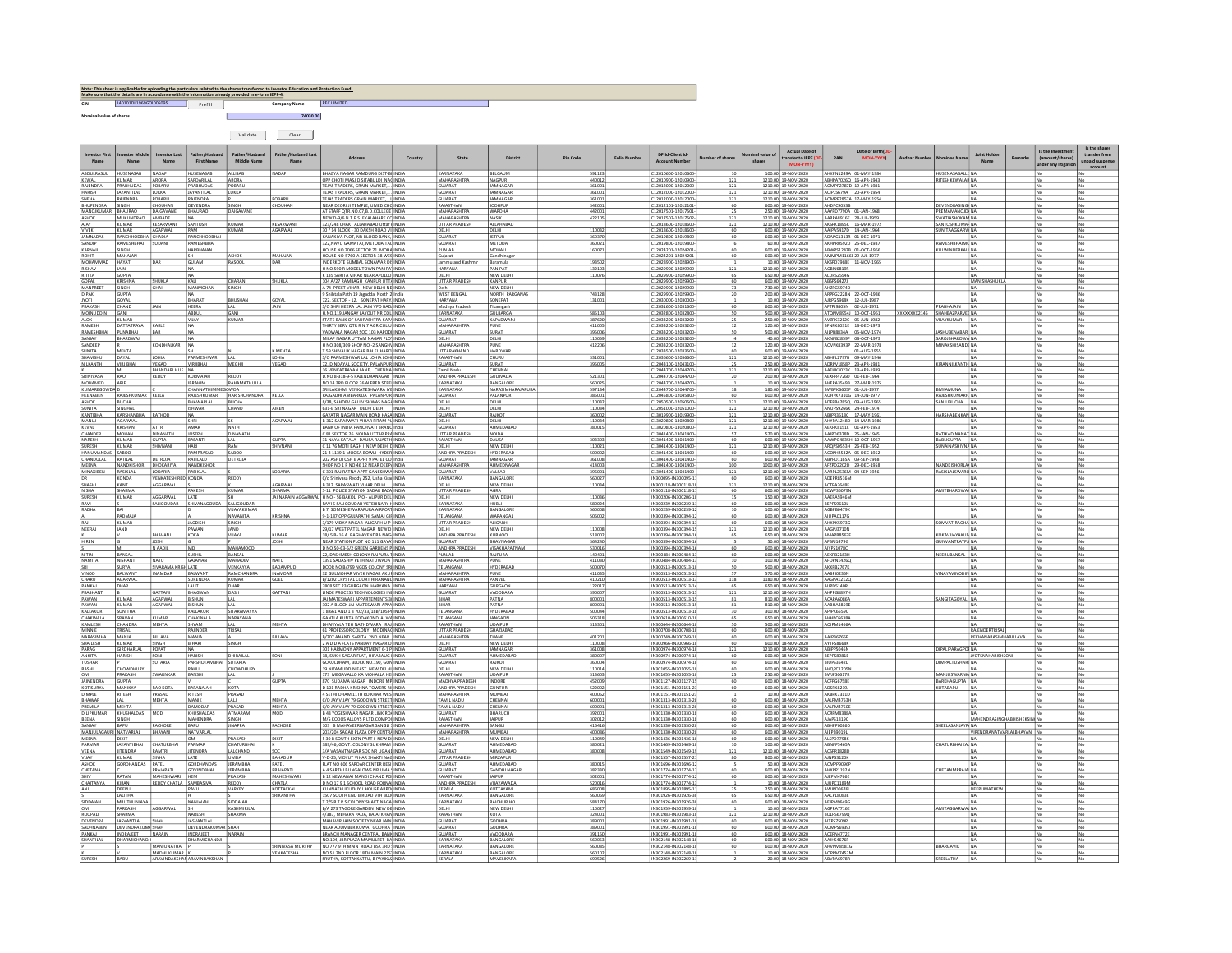| Note: This sheet is applicable for uploading the particulars related to the shares transferred to Investor Education and Protection Fund.<br>Make sure that the details are in accordance with the information already provided in e-form IEPF-4. |                       |         |              |                    |  |  |  |  |  |  |  |  |  |
|---------------------------------------------------------------------------------------------------------------------------------------------------------------------------------------------------------------------------------------------------|-----------------------|---------|--------------|--------------------|--|--|--|--|--|--|--|--|--|
| CIN                                                                                                                                                                                                                                               | 140101011969G01005095 | Prefill | Company Name | <b>REC LIMITED</b> |  |  |  |  |  |  |  |  |  |
| Nominal value of shares                                                                                                                                                                                                                           |                       |         | 74030.00     |                    |  |  |  |  |  |  |  |  |  |

Validate Clear

n l

| <b>Name</b>                      | Name                                              | Investor Last<br>Name                   | Father/Hushang<br><b>First Name</b>            | Father/Husband<br>Middle Name      | Father/Hushand Las<br>Name |                                                                                  |                                            |                   |                                       | Pin Code         | DP Id-Client Id-<br><b>Account Number</b>    |             | Nominal value o<br>shares | <b>Actual Date of</b><br>ransfer to IEPF   | PAN                                              | Date of Birth(D)         |              |                                                  | <b>Joint Holde</b><br>Name              | Is the Investmer<br>(amount/shares)<br>under any litigat | Is the share<br>transfer from<br>unpaid suspe |
|----------------------------------|---------------------------------------------------|-----------------------------------------|------------------------------------------------|------------------------------------|----------------------------|----------------------------------------------------------------------------------|--------------------------------------------|-------------------|---------------------------------------|------------------|----------------------------------------------|-------------|---------------------------|--------------------------------------------|--------------------------------------------------|--------------------------|--------------|--------------------------------------------------|-----------------------------------------|----------------------------------------------------------|-----------------------------------------------|
| ABDULRASUL HUSENASAB             |                                                   | NADA                                    | HUSENASAB                                      | <b>ALLISAB</b>                     | NADAF                      | BHAGYA NAGAR RAMDURG DIST-BEINDIA                                                | KARNATAKA                                  |                   | <b>BELGAUM</b>                        | 591123           | C12010600-12010600                           |             |                           | 100.00 19-NOV-2020                         | AHXPN1249A 01-MAY-1984                           |                          |              | HUSENASABALLI NA                                 |                                         |                                                          |                                               |
| KEWAL<br>RAIFNDRA                | KUMAR<br>PRARHLIDAS                               | ARORA<br>PORARLI                        | SARDARILAL<br><b>PRARHIIDAS</b>                | ARORA<br><b>PORARL</b>             |                            | OPP CHOTI MASJID SITABULDI NAC INDIA<br>TEJAS TRADERS, GRAIN MARKET, INDIA       | MAHARASHTR.<br><b>GUIARAT</b>              |                   | NAGPUR<br><b>IAMNAGAR</b>             | 44001<br>361003  | C12010900-12010900<br>012012000-12012000     | 121<br>121  |                           | 1210.00 19-NOV-2020<br>1210.00 19-NOV-2020 | <b>ABHPA7026Q</b><br>40MPP2787D 19-APR-1981      | -APR-1943                |              | RITESHKEWALAR N                                  |                                         |                                                          |                                               |
| <b>HARISH</b>                    | <b>JAYANTILAL</b>                                 | LUKKA                                   | <b>JAYANTILAL</b>                              | LUKKA                              |                            | TEJAS TRADERS, GRAIN MARKET, INDIA                                               | GUJARAT                                    |                   | JAMNAGAR                              | 361001           | C12012000-12012000-                          | 121         |                           | 1210.00 19-NOV-2020                        | ACIPL5679A                                       | 20-APR-1954              |              |                                                  | <b>NA</b>                               | N.                                                       | No                                            |
| SNEHA<br><b>BHUPENDRA</b>        | RAJENDRA<br>SINGH                                 | POBARU<br><b>HOUHAN</b>                 | RAJENDRA<br>DEVENDRA                           | SINGH                              | POBARU<br>CHOUHAN          | TEJAS TRADERS GRAIN MARKET, . J. INDIA<br>NEAR DEORI JI TEMPLE, UMED CHO INDIA   | GUJARAT<br>RAJASTHAN                       |                   | <b>JAMNAGAR</b><br><b>JODHPUR</b>     | 36100<br>34200   | C12012000-12012000<br>012012101-1201210      | 121         |                           | 1210.00 19-NOV-2020<br>600.00 19-NOV-2020  | AOMPP2857A 17-MAY-1954<br>AHDPC9053B             |                          |              | <b>DEVENDRASING NA</b>                           |                                         |                                                          |                                               |
| MANOJKUMAR BHAURAO<br>ASHOK      | MUKUNDRAO                                         | DAIGAVANE<br>AMBADE                     | BHAURAO<br><b>NA</b>                           | DAIGAVANI                          |                            | AT STAFF OTR.NO.07.B.D.COLLEGE INDIA<br>NEW D-9/6 N.T.P.S. EKALAHARE CO INDIA    | MAHARASHTRA<br>MAHARASHTRA                 |                   | <b>WARDHA</b><br><b>NASIK</b>         | 442001<br>422105 | C12017501-12017501<br>C12017502-12017502     | - 25<br>121 |                           | 250.00 19-NOV-2020<br>1210.00 19-NOV-2020  | AAYPD7790A 01-JAN-1968<br>AARPA8916E 28-JUL-1959 |                          |              | PREMAMANOJDI NA<br>SWATIASHOKAM NA               |                                         | <b>No</b>                                                | No                                            |
| AJAY                             | KUMAR                                             | KESARWANI                               | SANTOSH                                        | <b>KLIMAR</b>                      | KESARWANI                  | 323/248 CHAK ALLAHABAD Uttar   INDIA                                             | <b>UTTAR PRADES</b>                        |                   | ALLAHABAD                             |                  | C12018600-12018600                           | 121         |                           | 1210.00 19-NOV-2020                        | AKSPK1895K                                       | 16-MAR-1972              |              | SANTOSHKLIMAR NA                                 |                                         |                                                          |                                               |
| VIVEK<br>JAMNADAS                | KUMAR<br>RANCHHODBH                               | AGARWAL<br>GHADIA                       | RAM<br>RANCHHODBHA                             | <b>KUMAR</b>                       | AGARWAL                    | 30 / 14 BLOCK - 30 DAKSH ROAD VI INDIA<br>KANAKIYA PLOT, NR-BLOOD BANK, INDIA    | DELHI<br>GUJARA <sup>*</sup>               |                   | DELHI<br><b>JETPUR</b>                | 110032<br>36037  | C12018600-12018600<br>C12019800-12019800     |             |                           | 600.00 19-NOV-2020<br>600.00 19-NOV-2020   | AAIPA5417D 14-JAN-1964<br>ADAPG1313              | $-$ DEC-1971             |              | SUNITAAGGARW NA                                  |                                         | l No                                                     | No                                            |
| SANDIP<br>KARNAIL                | RAMESHBHAI<br>SINGH                               | SUDANI                                  | RAMESHBHAI<br><b>HARBHAJAN</b>                 |                                    |                            | 322.NAVU GAMATAI. METODA.TAL INDIA<br>HOUSE NO 2066 SECTOR 71 MOHA INDIA         | <b>GUJARAT</b><br>PUNJAB                   |                   | METODA<br>MOHALI                      | 360021<br>160071 | C12019800-12019800<br>C12024201-12024201     | 60          |                           | 60.00 19-NOV-2020<br>600.00 19-NOV-2020    | AKHPR0592D 25-DEC-1987<br>ABWPS1242B 01-OCT-1966 |                          |              | RAMESHBHAIMO NA<br>KULWINDERKAU NA               |                                         | IN.<br>No                                                | No                                            |
|                                  | MAHAJAN                                           |                                         |                                                | <b>ASHOK</b>                       | MAHAJAN                    | HOUSE NO-5760-A SECTOR-38 WES INDIA                                              | Gujarat                                    |                   | Gandhinaga                            |                  | C12024201-12024201                           |             |                           | 600.00 19-NOV-2020                         | AMMPM116                                         | 60 29-JUL-1977           |              |                                                  |                                         |                                                          |                                               |
| MOHAMMAD HAYAT<br>RISHAV         | JAIN                                              | ገልዩ                                     | <b>GULAM</b><br>I NA                           | <b>RASOOL</b>                      | DAR                        | INDERKOTE SUMBAL SONAWAR DISINDIA<br>H NO 590 R MODEL TOWN PANIPA INDIA          | <b>HARYANA</b>                             | Jammu and Kashmir | Baramula<br>PANIPAT                   | 193502<br>132103 | C12028900-12028900<br>C12029900-12029900-    | 121         |                           | 10.00 19-NOV-2020<br>1210.00 19-NOV-2020   | AKSPD7968E 11-NOV-1965<br>AGBPJ6819R             |                          |              | <b>NA</b><br><b>NA</b>                           |                                         | No                                                       | No                                            |
| RITIKA<br>GOPAL                  | <b>GUPTA</b><br>KRISHNA                           | SHUKLA                                  | <b>NA</b><br>KALI                              | CHARAN                             | SHUKLA                     | K 135 SARITA VIHAR NEAR APOLLO INDIA<br>104 A/27 RAMBAGH KANPUR UTTA INDIA       | DELHI<br><b>UTTAR PRADESE</b>              |                   | NEW DELHI<br>KANPUR                   | 110076           | C12029900-12029900<br>C12029900-12029900-    | 65          |                           | 650.00 19-NOV-2020<br>600.00 19-NOV-2020   | ALUPS2554G<br>ABSPS6427J                         |                          |              |                                                  | <b>MANISHASHUKL/</b>                    |                                                          | No<br>No                                      |
| MANPREET                         | SINGH                                             | GHAI                                    | MANMOH                                         | SINGH                              |                            | A 74 PREET VIHAR NEW DELHI NE INDIA                                              |                                            |                   | NEW DELH                              |                  | C12029900-12029900                           | 73          |                           | 730.00 19-NOV-2020                         | AHZPG5974D                                       |                          |              |                                                  |                                         | No                                                       | No                                            |
| DIPAK<br><b>JYOTI</b>            | GUPTA<br>GOYAL                                    |                                         | BHARAT                                         | <b>BHUSHAN</b>                     | GOYAL                      | Shibtala Path 19 Jagaddal North 2 India<br>722. SECTOR - 12. SONEPAT HARY INDIA  | <b>WEST BENGA</b><br><b>HARYANA</b>        |                   | NORTH PARGANA<br>SONEPAT              | 743128<br>131001 | C12029900-12029900<br>C12030000-12030000     |             |                           | 200.00 19-NOV-2020<br>10.00 19-NOV-2020    | ARPPG2228N<br>AIRPG5968K 12-JUL-1987             | -OCT-198                 |              |                                                  |                                         |                                                          | No                                            |
| PRAKASH<br>MOINUDDIN             | CHAND<br>GANI                                     |                                         | HEERA<br>ABDUL                                 | LAL<br>GANI                        | JAIN                       | S/O SHRI HEERA LAL JAIN VPO BAD INDIA<br>H.NO.119, JANGAY LAYOUT NR COL INDIA    | Madhya Prades<br>KARNATAKA                 |                   | Tikamgarh<br>GULBARGA                 | 585103           | C12031600-12031600<br>C12032800-12032800     | 60          |                           | 600.00 19-NOV-2020<br>500.00 19-NOV-2020   | AFTPJ9805N 02-JUL-1971<br>ATQPM8954J             | $-OCT-1961$              | 000000002145 | PRABHAJAIN<br>NA<br>SHAHBAZPARVER NA             |                                         | No                                                       | No                                            |
| <b>ALOK</b>                      | KUMAR                                             |                                         | VUAY                                           | KUMAR                              |                            | STATE BANK OF SAURASHTRA KAPA INDIA                                              | GUJARAT                                    |                   | <b>KAPADWAN</b>                       | 387620           | C12033200-12033200                           |             |                           | 250.00 19-NOV-2020                         | AVZPK3212C 05-JUN-1982                           |                          |              | VUAYKUMAR NA                                     |                                         | l No                                                     | No                                            |
| RAMESH<br>RAMESHBHAI             | DATTATRAYA<br>PUNABHAI                            | KARLE<br>BAR                            | NA<br><b>NA</b>                                |                                    |                            | THIRTY SERV QTR R N 7 AGRICUL U INDIA<br>VADWALA NAGAR SOC 103 KAPODI INDIA      | <b>MAHARASHTRJ</b><br>GUJARAT              |                   | PUNE<br>SURAT                         | 411005<br>395006 | C12033200-12033200-<br>C12033200-12033200    | 12          |                           | 120.00 19-NOV-2020<br>500.00 19-NOV-2020   | BFNPK8031E 18-DEC-1973<br>AILPB8834A             | 05-NOV-1974              |              | JASHUBENABAR NA                                  |                                         | No<br>Īм                                                 | No<br>No                                      |
| SANJAY<br>SANDEEP                | BHARDWAJ                                          | <b>ONDHALKAR</b>                        | <b>NA</b><br>NA                                |                                    |                            | MILAP NAGAR UTTAM NAGAR PLOTINDIA<br>H NO 308/309 SHOP NO -2 SANGHN INDIA        | DELHI<br>MAHARASHTRA                       |                   | DELHI<br>PUNE                         | 110059<br>412206 | C12033200-12033200<br>C12033200-12033200     | 12          |                           | 40.00 19-NOV-2020<br>120.00 19-NOV-2020    | AKNPB2859F 08-OCT-1973<br>40VPK8393P 22-MAR-1978 |                          |              | SAROJBHARDWA NA<br>MINAKSHISANDE N               |                                         | l No                                                     | No<br>No                                      |
| <b>STINITA</b>                   | MEHTA                                             |                                         |                                                |                                    | K MEHTA                    | T 59 SHIVALIK NAGAR R H FI HARDUNDIA                                             | <b>IITTARAKHAND</b>                        |                   | HARDWAR                               |                  | C12033500-12033500                           |             |                           | 600.00 19-NOV-2020                         |                                                  | 1-AUG-1955               |              |                                                  |                                         |                                                          | No                                            |
| SHAMBHU<br>NILKANTH              | DAYAL<br>VIRJIBHAI                                | LOHIA<br>VEGAD                          | PARMESHWAR<br>VIRJIBHAL                        | LAL<br>MEGHJI                      | LOHIA<br>VEGAD             | S/O PARMESHWAR LAL LOHIA LOHI INDIA<br>72, DINDAYAL SOCIETY, PALANPUR INDIA      | RAJASTHAN<br>GUJARAT                       |                   | CHURU<br>SURAT                        | 331001<br>395005 | C12036600-12036600<br>C12043100-12043100     | 121<br>-25  |                           | 1210.00 19-NOV-2020<br>250.00 19-NOV-2020  | ABHPL2797B 09-MAY-1946<br>ADRPV1858P 23-APR-1981 |                          |              | <b>NA</b><br>KIRANNILKANTH NA                    |                                         |                                                          | No<br>No                                      |
|                                  |                                                   | BHANDARI HUF NA                         |                                                |                                    |                            | 16 VENKATRAYAN LANE, CHENNA INDIA                                                | <b>Tamil Nadu</b>                          |                   | CHENNAI                               |                  | C12044700-12044700                           | 121         |                           | 1210.00 19-NOV-2020                        | <b>AAEHK3023K</b>                                | 13-APR-1939              |              |                                                  |                                         |                                                          | <b>No</b>                                     |
| SRINIVASA<br>MOHAMED             | RAO<br>ARIF                                       | <b>REDDY</b>                            | KURMAIAH<br><b>IBRAHIM</b>                     | REDDY<br>RAHAMATHULLA              |                            | D.NO 8-318-9-5 RAJENDRANAGAR INDIA<br>NO 14 3RD FLOOR 26 ALFRED STREETINDIA      | ANDHRA PRADESI<br>KARNATAKA                |                   | GUDIVADA<br>BANGALORE                 | 521301<br>560025 | C12044700-12044700<br>C12044700-12044700     |             |                           | 200.00 19-NOV-2020<br>10.00 19-NOV-2020    | AEXPR4726D 01-FEB-1964<br>AHEPA3549B 27-MAR-1975 |                          |              | NA                                               |                                         | l No                                                     | No<br>No                                      |
| KUMAREGOWDA D<br>HEENABEN        | RAJESHKUMAR                                       | KELLA                                   | CHANNATHIMMEGOWDA<br>RAJESHKUMAR HARISHCHANDRA |                                    | KELLA                      | SRI LAKSHMI VENKATESHWARA IYE INDIA<br>RAJGADHI AMBARKUA PALANPUR INDIA          | KARNATAKA<br>GUJARAT                       |                   | NARASIMHARAJAPURA<br>PALANPUR         | 597134<br>38500  | C12044700-12044700<br>C12045800-12045800     | 18          |                           | 180.00 19-NOV-2020<br>600.00 19-NOV-2020   | BWBPK6605F<br>AUHPK7310G 14-JUN-1977             | 01-JUL-1977              |              | <b>BMYAMUNA</b><br><b>INA</b><br>RAJESHKUMARH NA |                                         | l No                                                     | No                                            |
| ASHOK<br><b>SUNITA</b>           | <b>BUCHA</b><br>SINGHAL                           |                                         | BHAWARLA<br><b>ISHWAR</b>                      | <b>BUCHA</b>                       | AIREN                      | 8/38, SAHDEV GALI VISHWAS NAGA INDIA<br>631-B SRI NAGAR DELHI DELHI INDIA        | DELHI<br>DELHI                             |                   | DELHI<br>DELHI                        | 110032           | 12050500-12050500<br>C12051000-12051000      | 121         |                           | 1210.00 19-NOV-2020                        | ADFPB4285Q<br>ANUPS9266K 24-FEB-1974             | 09-AUG-1965              |              | SANJUBUCHA                                       |                                         |                                                          |                                               |
| KANTIBHAI                        | KARSHANBHAI                                       | RATHOD                                  | <b>NA</b>                                      | CHAND                              |                            | GAYATRI NAGAR MAIN ROAD HASA INDIA                                               | GUJARAT                                    |                   | RAJKOT                                | 110034<br>360002 | C13019900-13019900                           | 121<br>121  |                           | 1210.00 19-NOV-2020<br>1210.00 19-NOV-2020 | ABJPR3518C 17-MAY-1961                           |                          |              | HARSHABENKAN NA                                  |                                         |                                                          | No<br>No                                      |
| KEVAL                            | AGARWA<br>KRISHAN                                 | <b>ATTRI</b>                            | SHRI<br>AMAR                                   | NATH                               | AGARWA                     | B-312 SARASWATI VIHAR PITAM PU INDIA<br>BANK OF INDIA PANCHVATI BRANC India      | DELHI<br><b>GUJARAT</b>                    |                   | DELHI<br>AHMEDABAD                    | 110034<br>380015 | C13020800-13020800<br>C13020800-13020800-    | 121<br>121  |                           | 1210.00 19-NOV-2020<br>1210.00 19-NOV-2020 | AHYPA1248D<br>AEKPK8151L                         | -MAR-1986<br>01-APR-1953 |              | <b>NA</b>                                        |                                         | <b>No</b>                                                | No                                            |
| CHANDER<br><b>NARESH</b>         | MOHAN<br>KUMAR                                    | DINANATH<br><b>GUPTA</b>                | <b>JOSEPH</b><br>RASANT                        | DINANATH                           | <b>GUPTA</b>               | C 81 SECTOR 26 NOIDA UTTAR PRA INDIA<br>1 NAYA KATALA DALISA RAIASTH INDIA       | <b>UTTAR PRADESE</b><br>RAIASTHAN          |                   | <b>NOIDA</b><br><b>DALISA</b>         | 303303           | C13041400-13041400-<br>C13041400-13041400    | 57          |                           | 570.00 19-NOV-2020<br>600.00 19-NOV-2020   | AAJPD6378D 25-JAN-1945<br><b>AAWPG483</b>        | <b>DOCT-1967</b>         |              | RATIKADINANAT NA<br><b>BARLIGUPTA NA</b>         |                                         | <b>INc</b>                                               | No                                            |
| <b>SURESH</b>                    | KUMAR                                             | <b>HIVNANI</b>                          | HARI                                           | RAM                                | SHIVNANI                   | C 11 76 MOTI BAGH I NEW DELHI DINDIA                                             | DELHI                                      |                   | NEW DELH                              | 110021           | C13041400-13041400                           | 121         |                           | 1210.00 19-NOV-2020                        | ARQPS0553H 26-FEB-1952                           |                          |              | SUNAINASHIVNA NA                                 |                                         | No                                                       | No                                            |
| HANUMANDAS SABOO<br>CHANDULAL    | RATILAL                                           | DETROIA                                 | RAMPRASAD<br>RATILALD                          | SABOO<br>DETROJA                   |                            | 21 4 1139 1 MOOSA BOWLI HYDER INDIA<br>202 ASHUTOSH B APPT 9 PATEL COLIndia      | ANDHRA PRADES<br>GUIARAT                   |                   | HYDERABAD<br><b>IAMNAGAR</b>          | 500002<br>361008 | C13041400-13041400<br>C13041400-13041400     | 60<br>60    |                           | 600.00 19-NOV-2020<br>600.00 19-NOV-2020   | ACOPH2532A 05-DEC-1952<br>ABYPD1165A             | 09-SEP-1968              |              |                                                  |                                         |                                                          | No                                            |
| <b>MEENA</b>                     | NANDKISHOR                                        | <b>DHOKARIYA</b>                        | <b>NANDKISHOR</b>                              |                                    |                            | SHOP NO 1 P NO 46 12 NEAR DEEPAINDIA                                             | <b>MAHARASHTRA</b>                         |                   | AHMEDNAGAF                            | 414003           | C13041400-13041400                           | 100         |                           | 1000.00 19-NOV-2020                        | AFZPD2202D                                       | 29-DEC-1958              |              | NANDKISHORLAX NA                                 |                                         | l No                                                     | No                                            |
| MINAXIBEN                        | RASIKLAL<br>KONDA                                 | LODARIA<br><b>/ENKATESH RED KONDA</b>   | RASIKLAL                                       | REDDY                              | LODARIA                    | C 301 RAJ RATNA APPT GANESHWA INDIA<br>C/o Srinivasa Reddy 252, Usha Kirai INDIA | GUJARAT<br>KARNATAKA                       |                   | VALSAD<br>BANGALORE                   | 396001<br>560027 | C13041400-13041400<br>IN300095-IN300095-     | 121         |                           | 1210.00 19-NOV-2020<br>600.00 18-NOV-2020  | AARPL2536M 04-SEP-1956<br>ADEPR8516M             |                          |              | RASIKLALSWARO NA                                 |                                         |                                                          | No                                            |
| SHASHI<br>NISHA                  | KANT<br><b>LUADRA</b>                             | AGGARWAL                                | RAKESH                                         | <b>KLIMAR</b>                      | AGARWAL                    | B 312 SARASWATI VIHAR DELHI INDIA<br>S-11 POLICE STATION SADAR BAZA INDIA        | DELHI<br><b>ITTAR PRADES</b>               |                   | NEW DELHI                             | 110034           | IN300118-IN300118-10                         | 121         |                           | 1210.00 18-NOV-2020                        | ACTPA2648F                                       |                          |              | <b>NA</b><br>AMITRHARDWAL N.                     |                                         | <b>No</b>                                                | No                                            |
| SURESH                           | KUMAR                                             | AGGARWAL                                | LATE                                           |                                    |                            | JAI NARAIN AGGARWAL H NO - 56 BAKOLI P O - ALIPUR DEL INDIA                      | DELHI                                      |                   | NEW DELHI                             | 110036           | IN300206-IN300206-1                          | 15          |                           | 150.00 18-NOV-2020                         | AAEPAS946M                                       |                          |              | <b>NA</b>                                        |                                         | l No                                                     | No                                            |
|                                  | BAI                                               | ALIGOUDAR                               | <b>SHIVANA</b><br>UDA                          | SALIGOUDAR<br>VIJAYAKUMAR          |                            | RAVI S SALIGOUDAR VETERINARY H INDIA<br>B 7, SOMESHEWARAPURA AIRPORT INDIA       | KARNATAKA<br>KARNATAKA                     |                   | HUBLI<br>BANGALORE                    | 580024<br>560008 | IN300239-IN300239-1<br>IN300239-IN300239-1   | 60          |                           | 600.00 18-NOV-2020<br>100.00 18-NOV-2020   | BEPPS9610L<br>AGBPB0479K                         |                          |              |                                                  | <b>NA</b>                               | No                                                       | No                                            |
| RAJ                              | PADMAJA<br>KUMAR                                  |                                         | JAGDISH                                        | NAVANITA<br>SINGH                  | <b>KRISHNA</b>             | 9-1-187 OPP GUJARATHI SAMAJ GIR INDIA<br>3/179 VIDYA NAGAR ALIGARH U P INDIA     | TELANGANA<br><b>UTTAR PRADES</b>           |                   | WARANGAL<br>ALIGARH                   | 506002           | IN300394-IN300394-3<br>IN300394-IN300394-1   | 60          |                           | 600.00 18-NOV-2020<br>600.00 18-NOV-2020   | AIUPA0117G<br>AHXPK5973G                         |                          |              | NA<br>SOMVATIRAGHA NA                            |                                         | No                                                       | No                                            |
| NEERAJ                           | <b>JAND</b>                                       |                                         | PAWAN                                          | <b>JAND</b>                        |                            | 29/17 WEST PATEL NAGAR NEW DINDIA                                                | DELHI                                      |                   | NEW DELH                              | 110008           | IN300394-IN300394-1                          | 121         |                           | 1210.00 18-NOV-2020                        | AAGPJ3710N                                       |                          |              |                                                  |                                         |                                                          | No                                            |
| HIREN                            |                                                   | RHAVANI<br><b>JOSHI</b>                 | KOKA                                           | VIJAYA                             | KUMAR<br>JOSHI             | 18/ 5 B-16 A RAGHAVENDRA NAG INDIA<br>NEAR STATION PLOT NO 111 GAYA INDIA        | GUJARAT                                    | ANDHRA PRADESH    | KURNOOL<br><b>BHAVNAGAR</b>           | 518002<br>364240 | IN300394-IN300394-1<br>IN300394-IN300394-1   |             |                           | 650.00 18-NOV-2020<br>50.00 18-NOV-2020    | <b>AMAPRRS67F</b><br>AFBPJ1479G                  |                          |              | KOKAVIJAVAKLIN NA<br><b>GUNVANTRAYPJ</b> NA      |                                         | No                                                       | No                                            |
| NITIN                            | BANSAL                                            | N AADI                                  | MD<br>SUSHIL                                   | MAHAMOO<br>BANSAL                  |                            | D NO 50-63-5/2 GREEN G<br>22. DASHMESH COLONY RAJPURA TINDIA                     | ANDHRA PRAD<br>PUNJAB                      |                   | <b>VISAKHAPATNA</b><br><b>RAJPURA</b> | 53001<br>140401  | IN300394-IN300394<br>IN300484-IN300484-1     | 60          |                           | 600.00 38-NOV-202<br>600.00 18-NOV-2020    | AEKPB2183H                                       |                          |              | NEERUBANSAL NA                                   |                                         |                                                          | No                                            |
| NAMITA                           | NISHANT                                           | NATU                                    | GAJANAM                                        | MAHADEV                            | NATU.                      | 1391 SADASHIV PETH NATUWADA I INDIA                                              | <b>MAHARASHTR</b>                          |                   | PUNE                                  | 411030           | IN300484-IN300484-3                          | 10          |                           | 100.00 18-NOV-2020                         | AFOPN1426C                                       |                          |              |                                                  |                                         | l No                                                     | No                                            |
| VINOD                            | SURYA<br>BALWANT                                  | SIVARAMA KR<br><b>INAMDAR</b>           | <b>LATE</b><br>BALWANT                         | VENKAYYA<br><b>RAMCHANDRA</b>      | BADAMPUD<br><b>INAMDAR</b> | OOR NO B/799 NGOS COLONY SRI INDIA<br>32 GULMOHAR VIVEK NAGAR AKUR INDIA         | TELANGANA<br>MAHARASHTRA                   |                   | HYDERABAD<br>PUNE                     | 5000<br>411035   | IN300513-IN300513-<br>IN300513-IN300513-1    | 57          |                           | 500.00 18-NOV-2020<br>570.00 18-NOV-2020   | AKKPB27678<br>AABPI0235N                         |                          |              | VINAYAVINODIN NA                                 |                                         |                                                          |                                               |
| CHARU<br>PANKAJ                  | AGARWAL<br><b>DHAR</b>                            |                                         | SURENDRA<br>LALIT                              | KUMAR<br>DHAR                      | GOEL                       | B/1202 CRYSTAL COURT HIRANAND INDIA<br>2808 SEC 23 GURGAON HARYANA INDIA         | MAHARASHTRA<br>HARYANA                     |                   | PANVEL<br>GURGAON                     | 410210           | IN300513-IN300513-13<br>IN300513-IN300513-1  | 118         |                           | 1180.00 18-NOV-2020<br>650.00 18-NOV-2020  | AAGPA1212Q<br>AUPD5140R                          |                          |              |                                                  |                                         | No                                                       | No                                            |
| PRASHANT<br>PAWAN                |                                                   | GATTANI                                 | BHAGWAN                                        | DASJI                              | <b>GATTAN</b>              | LINDE PROCESS TECHNOLOGIES IN INDIA                                              | <b>GUJARAT</b>                             |                   | VADODARA                              | 122017<br>390007 | IN300513-IN300513-1                          | 121         |                           | 1210.00 18-NOV-2020                        | AHPPG8897H                                       |                          |              |                                                  |                                         |                                                          | No                                            |
| PAWAN                            | <b>KUMAR</b><br>KUMAR                             | AGARWAI<br><b>AGARWAI</b>               | <b>BISHUN</b><br><b>RISHLIN</b>                |                                    |                            | JAI MATESWARI APPARTEMENTS 30 INDIA<br>302 A BLOCK IAI MATESWARI APPA INDIA      | BIHAR<br><b>RIHAR</b>                      |                   | PATNA                                 | 80000<br>800001  | IN300513-IN300513-3<br>IN300513-IN300513-1   | 81<br>81    |                           | 810.00 18-NOV-2020<br>810.00 18-NOV-2020   | ACAPA6086A<br><b>AARHA4859F</b>                  |                          |              | SANGITAGOYAL NA                                  |                                         |                                                          | No<br>No                                      |
| KALLAKURI<br>CHAKINALA           | SUNITHA<br>SRAVAN                                 | KUMAR                                   | KALLAKURI<br>CHAKINAL                          | SITARAMAYYA<br>NARAYANA            |                            | 1 8 661 AND 1 8 702/33/18B/105 PLINDIA<br>GANTLA KUNTA KODAKONDLA WA INDIA       | TELANGANA<br>TELANGANA                     |                   | <b>HYDERABAD</b><br>JANGAON           | 500044<br>506318 | IN300513-IN300513-3<br>IN300610-IN300610-3   | 65          |                           | 300.00 18-NOV-2020<br>650.00 18-NOV-2020   | APJPK6559C<br>AHHPC6638                          |                          |              |                                                  |                                         |                                                          | No                                            |
| KAMLESH                          | <b>CHANDRA</b>                                    | MEHTA                                   | SHYAM                                          |                                    | MEHTA                      | DHANYALA TEH NATHDWARA RAJ INDIA                                                 | RAJASTHAN                                  |                   | <b>UDAIPUR</b>                        | 313301           | IN300644-IN300644-1                          |             |                           | 500.00 18-NOV-2020                         | AQIPM1466A                                       |                          |              |                                                  |                                         | İΝ                                                       | No                                            |
| MINNIE<br>NARASIMHA              | TRISAL<br>MANJA                                   | BILLAVA                                 | RAJINDER<br><b>MANJA</b>                       | TRISAL                             | BILLAVA                    | 61 PROFESSOR COLONY MODINAC INDIA<br>B/207 ANAND SARITA 2ND NEAR INDIA           | <b>UTTAR PRADESH</b><br><b>MAHARASHTRJ</b> |                   | GHAZIABAD<br>THANE                    | 401201           | IN300708-IN300708-1<br>IN300749-IN300749-1   | 60<br>60    |                           | 600.00 18-NOV-2020<br>600.00 18-NOV-2020   | AAIPB6765F                                       |                          |              |                                                  | RAJENDERTRISAL<br>REKHANARASIMHABILLAVA | Na                                                       | No<br>No                                      |
| SHAILESH<br>PARAG                | KUMAR<br>GIRDHARLAI                               | SINGH<br>POPAT                          | BIHARI<br><b>NA</b>                            | SINGH                              |                            | 2 A D D A FLATS PANDAV NAGAR DI INDIA<br>301 HARMONY APPARTMENT 6-1 P INDIA      | DELHI<br>GUJARA'                           |                   | NEW DELHI<br>JAMNAGAR                 | 110008<br>361008 | IN300966-IN300966-1<br>IN300974-IN300974-1   | 60<br>121   |                           | 600.00 18-NOV-2020<br>1210.00 18-NOV-2020  | AYTPS8668K<br>ABIPPS046N                         |                          |              | DIPALIPARAGPOI NA                                |                                         |                                                          | No                                            |
| ANKITA                           | <b>HARISH</b>                                     |                                         | HARISH                                         | HIRAILA                            | SON                        | 18, SUKH-SAGAR FLAT, HIRABAUG I INDIA                                            | GUJARAT                                    |                   | AHMEDABAL                             | 380007           | IN300974-IN300974-                           |             |                           | 600.00 18-NOV-2020                         | <b>BEPPS8981E</b>                                |                          |              |                                                  |                                         |                                                          |                                               |
| <b>TUSHAR</b><br>RASHI           | <b>CHOWDHURY</b>                                  | <b>SUTARIA</b>                          | PARSHOTAL<br>RAHUL                             | <b>SUTARIA</b><br><b>CHOWDHURY</b> |                            | GOKULDHAM, BLOCK NO.190, GON INDIA<br>19 NIZAMUDDIN EAST NEW DELHI INDIA         | GUJARAT<br>DELHI                           |                   | RAJKOT<br>NEW DELH                    | 360004<br>110014 | IN300974-IN300974-1<br>IN301055-IN301055-3   | 60<br>60    |                           | 600.00 18-NOV-2020<br>600.00 18-NOV-2020   | <b>BIUPS3542L</b><br>AHQPC1205M                  |                          |              | DIMPALTUSHARS NA                                 |                                         | l No                                                     | No<br>No                                      |
| <b>JAINENDRA</b>                 | PRAKASH<br>GUPTA                                  |                                         | BANSHI                                         |                                    | <b>GUPTA</b>               | 173 MEGAVALLO KA MOHALLA HEI INDIA<br>870 SUDAMA NAGAR INDORE MP INDIA           | RAJASTHAM                                  | MADHYA PRADESH    | UDAIPUR<br>INDORE                     | 313603<br>452009 | IN301055-IN30105<br>IN301127-IN301127-1      | 25          |                           | 250.00 18-NOV-2020<br>600.00 18-NOV-2020   | BWJPS06178<br>ACFPG6758E                         |                          |              | MANJUSWARNK NA<br>BARKHAGUPTA NA                 |                                         | l No                                                     | No<br>No                                      |
| KOTISURYA                        | MANIKYA                                           | RAO KOTA                                | BAPANAIA                                       | KOTA                               |                            | D 101 RADHA KRISHNA TOWERS RI INDIA                                              |                                            | ANDHRA PRADESH    | GUNTUR                                | 522002           | IN301151-IN301151-2                          | 60<br>-60   |                           | 600.00 18-NOV-2020                         | ADSPK8219J                                       |                          |              | KOTABAPU NA                                      |                                         |                                                          | No                                            |
| DIMPLE<br><b>BHAWAR</b>          | RITESH<br>14.41                                   | <b>RASAD</b><br>MEHTA                   | RITESH<br><b>MANIK</b>                         | PRASAD<br><b>LATIL</b>             | <b>MEHTA</b>               | 4 SETHI DHAM 11TH RD KHAR WES INDIA<br>C/O JAY VIJAY 79 GODOWN STREET INDIA      | MAHARASHTRJ<br>TAMIL NADLL                 |                   | MUMBAI<br>CHENNAL                     | 400052<br>600001 | IN301151-IN301151-2<br>IN301313-IN301313-20  | 60          |                           | 10.00 18-NOV-2020<br>600.00 18-NOV-2020    | AKBPK7311D<br><b>AALPM4753F</b>                  |                          |              | <b>NA</b>                                        |                                         | <b>No</b>                                                | No<br>No                                      |
| PREMILA<br>DILIPKUMAR            | MEHTA<br>KHUSHALDAS                               | MODI                                    | DAMODAR<br>KHUSHALDA                           | PRASAD<br><b>ATMARAN</b>           | MEHTA<br>MODI              | C/O JAY VIJAY 79 GODOWN STREET INDIA<br>B 48 YOGESHWAR NAGAR LINK ROA INDIA      | TAMIL NADU<br><b>GUIARAT</b>               |                   | CHENNAI<br>RHARLICH                   | 60000<br>392001  | IN301313-IN301313-2<br>IN301330-IN301330-3   |             |                           | 600.00 18-NOV-2020<br>600.00 18-NOV-2020   | AALPM4750E<br>ACRPMR3884                         |                          |              |                                                  |                                         |                                                          | No                                            |
| <b>BEENA</b>                     | SINGH                                             |                                         | MAHENDRA                                       | SINGH                              |                            | M/S KODOS ALLOYS P LTD.COMPOUNDIA                                                | RAJASTHAN                                  |                   | <b>JAIPUR</b>                         | 302012           | IN301330-IN301330-18                         | 60          |                           | 600.00 18-NOV-2020                         | AJAPS1819C                                       |                          |              |                                                  | MAHENDRASINGHABHISHEKSINI No            |                                                          | No                                            |
| SANJAY<br>MANJULAGAURI NATVARLAI | <b>BAPU</b>                                       | PACHORE                                 | BAPU<br>NATVARLA                               | <b>IINAPPA</b>                     | PACHORE                    | 103 B MAHAVEERNAGAR SANGLI INDIA<br>03/204 SAGAR PLAZA OPP CENTRA INDIA          | MAHARASHTRA<br>MAHARASHTR.                 |                   | SANGLI<br><b>MUMBA</b>                | 416416<br>400086 | IN301330-IN301330-2<br>IN301330-IN301330-2   | 60          |                           | 600.00 18-NOV-2020<br>600.00 18-NOV-2020   | <b>ABHPP0086D</b><br>AJEPB9019                   |                          |              | SHEELASANJAYP, NA                                | VIRENDRANATVARLALBHAYANI N              | N:                                                       | No<br>No                                      |
| <b>MEENA</b><br>PARMAR           | DIXIT<br><b>JAYANTIBHAI</b>                       | CHATURBHAL                              | OM<br>PARMAR                                   | PRAKASH<br>CHATURBHA               | DIXIT                      | F 30 B SOUTH EXTN PART I NEW DI INDIA                                            | DELHI<br>GUJARAT                           |                   | NEW DELHI                             | 110049           | IN301436-IN301436-10                         | - 60        |                           | 600.00 18-NOV-2020                         | ALSPD7798K                                       |                          |              | CHATURBHAIKAU NA                                 |                                         | <b>No</b>                                                | <b>No</b>                                     |
| VEENA                            | <b>ITENDRA</b>                                    | RAMTRI                                  | <b>JITENDRA</b>                                | ALCHAND                            |                            | 389/46, GOVT. COLONY SUKHRAM INDIA<br>3/A VASANTNAGAR SOC NR UGANI INDI          | GUJARAT                                    |                   | AHMEDABAD<br>AHMEDABA                 | 380021<br>380008 | IN301469-IN301469-1<br>IN301549-IN301549-3   | 10<br>121   |                           | 100.00 18-NOV-2020<br>1210.00 18-NOV-2020  | ABNPP5465A<br>ACSPR1828D                         |                          |              |                                                  |                                         |                                                          | No                                            |
| VIJAY<br>ASHOK                   | KUMAR                                             | SINHA<br>PATEL                          | LATE<br>GORDHANDA:                             | UMDA<br>ERAMBHA                    | <b>BAHADUR</b><br>PATEL    | V-D-25, VIDYUT VIHAR SHAKTI NAG INDIA<br>FLAT NO 606 SARDAR CENTER RESI INDIA    | UTTAR PRADES<br>GUJARAT                    |                   | MIRZAPUR<br>AHMEDABAD                 | 380019           | IN301557-IN301557-2<br>IN301696-IN301696-    |             |                           | 800.00 18-NOV-2020<br>50.00 18-NOV-2020    | AJNPS3120K<br>ACMPP9096                          |                          |              |                                                  | <b>NA</b>                               | No                                                       | No                                            |
| CHETANA                          |                                                   | ΡΒΑΙΔΡΑΤΙ                               | GOVINDBHA                                      | FRAMRHA                            | PRAIAPAT                   | A 4 SARTHI RUNGAI OWS NR UMA <sup>4</sup> INDIA                                  | <b>GUIARAT</b>                             |                   | GANDHI NAGAR                          | 382330           | IN301774-IN301774-1                          | 60          |                           | 600.00 18-NOV-2020                         | <b>AHXPP1192N</b>                                |                          |              | CHETANMPRAIA NA                                  |                                         |                                                          |                                               |
| SHIV<br>CHAITANYA                | RATAN<br>KIRAN                                    | MAHESHWARI HEM<br>EDDY CHATLA SAMBASIVA |                                                | PRAKASH<br>REDDY                   | MAHESHWAR<br>CHATLA        | B 12 NEW ANAI MANDI CHAND PO INDIA<br>D NO 17 9 1 SCHOOL ROAD PORNAL INDIA       | RAJASTHAN<br>ANDHRA PRADES                 |                   | <b>JAIPUR</b><br>VIJAYAWADA           | 302001<br>520016 | IN301774-IN301774-1<br>IN301774-IN301774-1   |             |                           | 600.00 18-NOV-2020<br>10.00 18-NOV-2020    | AJEPM4766E<br>AJUPC1189M                         |                          |              |                                                  |                                         | No                                                       | No                                            |
| ANU                              | <b>DEEPU</b><br>LALITHA                           |                                         | PAVU                                           | VARKEY                             | KOTTACKAL<br>SRIKANTHA     | UNNATHUKUZHIYIL HOUSE ARPO INDIA<br>1507 SOUTH END B ROAD 9TH BLO INDIA          | KERALA<br>KARNATAKA                        |                   | KOTTAYAM<br><b>BANGALORE</b>          | 686008<br>560069 | IN301895-IN301895-<br>IN301926-IN301926-30   | 65          |                           | 250.00 18-NOV-2020<br>650.00 18-NOV-2020   | AWJPD0676I<br>AACPL8083E                         |                          |              |                                                  | DEEPUMATHEW                             | <b>No</b>                                                | No                                            |
| SIDDAIAH                         | MRUTHUNJAYA<br>PARKASH                            | AGGARWAL                                | NANJAIAH<br>l sh                               | KASHMIRILAL                        |                            | T 2/5 R T P S COLONY SHAKTINAGA INDIA<br>B/A 273 TAGORE GARDEN NEW DE INDIA      | KARNATAKA<br>DELHI                         |                   | RAICHUR HO<br>NEW DELHI               | 584170<br>110027 | IN301926-IN301926-3<br>IN301959-IN301959-1   |             |                           | 600.00 18-NOV-2020<br>10.00 18-NOV-2020    | AEJPM9649G<br>AGPPA7716E                         |                          |              | AMITAGGARWAI NA                                  |                                         |                                                          | No                                            |
| ROOPALI                          | SHARMA                                            |                                         | NARESH                                         |                                    |                            | 4/387, MEHARA PADA, BAJAJ KHAN INDIA                                             | RAJASTHAN                                  |                   | KOTA                                  | 324001           | IN301983-IN301983-1                          | 121         |                           | 1210.00 18-NOV-2020                        | <b>BOLPS6799Q</b>                                |                          |              |                                                  |                                         | l No                                                     | No                                            |
| DEVENDRA                         | <b>IASVANTIA</b><br>SADHNABEN   DEVENDRAKUM/ SHAH |                                         | <b>IASVANTI AI</b><br>DEVENDRAKUMAR SHAH       |                                    |                            | MAHAVIR JAIN SOCIETY NEAR JAIN INDIA<br>NEAR ADUMBER KUWA GODHRA INDIA           | GUJARAT<br><b>GUJARAT</b>                  |                   | <b>GODHRA</b><br><b>GODHRA</b>        | 38900<br>389001  | IN301991-IN301991<br>IN301991-IN301991-      | 60          |                           | 600.00 18-NOV-2020<br>600.00 18-NOV-2020   | AITPS7509P<br>AOMPS6939J                         |                          |              | NA                                               |                                         |                                                          |                                               |
| PANKAJ                           | INDRAJEET NARAIN                                  |                                         | INDRAJEET                                      | NARAIN                             |                            | BRANCH MANAGER CENTRAL BANK INDIA                                                | <b>GUJARAT</b>                             |                   | VADODARA                              | 391150           | IN301991-IN301991-1                          | 60          |                           | 600.00 18-NOV-2020                         | ACEPN4772E                                       |                          |              |                                                  | <b>NA</b>                               | <b>INo</b>                                               | No                                            |
| SHANTILAL                        |                                                   | <b>MANJUNATHA</b>                       | DHARMICHAND                                    |                                    | SRINIVASA MURTHY           | NO.104, JBR PLAZA MAMULPET BA INDIA<br>NO 777 9TH MAIN ROAD BSK 3RD SINDIA       | KARNATAKA<br>KARNATAKA                     |                   | BANGALORE<br>BANGALORE                | 56005<br>560085  | IN302148-IN302148-1<br>IN302148-IN302148-1   |             |                           | 600.00 18-NOV-2020<br>600.00 18-NOV-2020   | <b>AAJHS4676</b><br>AHVPM85810                   |                          |              | BHARGAVIK<br><b>NA</b>                           |                                         |                                                          |                                               |
| SURESH                           | BABU                                              | MADHUKUMAR K                            | ARAVINDAKSHAN ARAVINDAKSHAN                    |                                    | VENKATESHA                 | NO 51 2ND FLOOR 18TH MAIN 21ST INDIA<br>SRUTHY, KOTTAKKATTU, B PAYIKUZ INDIA     | KARNATAKA<br>KERALA                        |                   | BANGALORE<br>MAVELIKARA               | 560102<br>690526 | IN302148-IN302148-10<br>IN302269-IN302269-11 |             |                           | 10.00 18-NOV-2020                          | AOPPM7452M<br>ABVPA6978R                         |                          |              | <b>NA</b><br>SREELATHA<br>NA                     |                                         | No                                                       | No                                            |
|                                  |                                                   |                                         |                                                |                                    |                            |                                                                                  |                                            |                   |                                       |                  |                                              |             |                           | 20.00 18-NOV-2020                          |                                                  |                          |              |                                                  |                                         |                                                          |                                               |